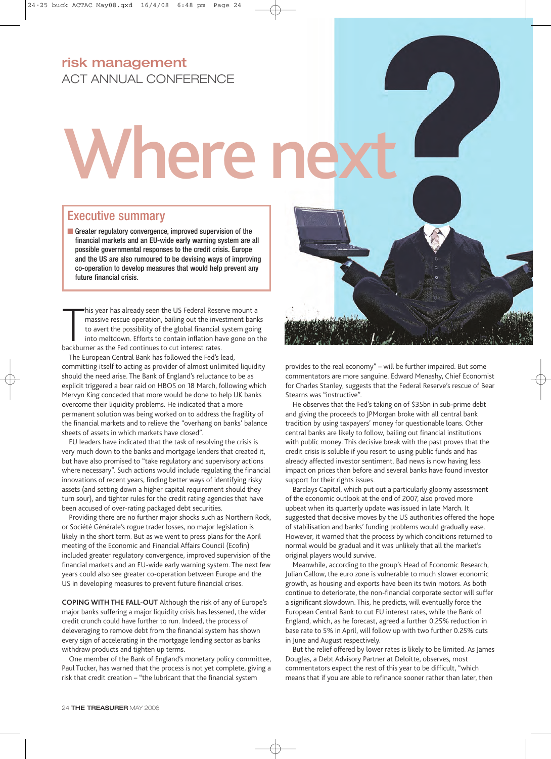## **risk management** ACT ANNUAL CONFERENCE

## Where next

## Executive summary

■ Greater regulatory convergence, improved supervision of the financial markets and an EU-wide early warning system are all possible governmental responses to the credit crisis. Europe and the US are also rumoured to be devising ways of improving co-operation to develop measures that would help prevent any future financial crisis.

his year has already seen the US Federal Rese<br>massive rescue operation, bailing out the inve<br>to avert the possibility of the global financial<br>into meltdown. Efforts to contain inflation ha<br>backburner as the Fed continues t his year has already seen the US Federal Reserve mount a massive rescue operation, bailing out the investment banks to avert the possibility of the global financial system going into meltdown. Efforts to contain inflation have gone on the

The European Central Bank has followed the Fed's lead, committing itself to acting as provider of almost unlimited liquidity should the need arise. The Bank of England's reluctance to be as explicit triggered a bear raid on HBOS on 18 March, following which Mervyn King conceded that more would be done to help UK banks overcome their liquidity problems. He indicated that a more permanent solution was being worked on to address the fragility of the financial markets and to relieve the "overhang on banks' balance sheets of assets in which markets have closed".

EU leaders have indicated that the task of resolving the crisis is very much down to the banks and mortgage lenders that created it, but have also promised to "take regulatory and supervisory actions where necessary". Such actions would include regulating the financial innovations of recent years, finding better ways of identifying risky assets (and setting down a higher capital requirement should they turn sour), and tighter rules for the credit rating agencies that have been accused of over-rating packaged debt securities.

Providing there are no further major shocks such as Northern Rock, or Société Générale's rogue trader losses, no major legislation is likely in the short term. But as we went to press plans for the April meeting of the Economic and Financial Affairs Council (Ecofin) included greater regulatory convergence, improved supervision of the financial markets and an EU-wide early warning system. The next few years could also see greater co-operation between Europe and the US in developing measures to prevent future financial crises.

**COPING WITH THE FALL-OUT** Although the risk of any of Europe's major banks suffering a major liquidity crisis has lessened, the wider credit crunch could have further to run. Indeed, the process of deleveraging to remove debt from the financial system has shown every sign of accelerating in the mortgage lending sector as banks withdraw products and tighten up terms.

One member of the Bank of England's monetary policy committee, Paul Tucker, has warned that the process is not yet complete, giving a risk that credit creation – "the lubricant that the financial system



provides to the real economy" – will be further impaired. But some commentators are more sanguine. Edward Menashy, Chief Economist for Charles Stanley, suggests that the Federal Reserve's rescue of Bear Stearns was "instructive".

He observes that the Fed's taking on of \$35bn in sub-prime debt and giving the proceeds to JPMorgan broke with all central bank tradition by using taxpayers' money for questionable loans. Other central banks are likely to follow, bailing out financial institutions with public money. This decisive break with the past proves that the credit crisis is soluble if you resort to using public funds and has already affected investor sentiment. Bad news is now having less impact on prices than before and several banks have found investor support for their rights issues.

Barclays Capital, which put out a particularly gloomy assessment of the economic outlook at the end of 2007, also proved more upbeat when its quarterly update was issued in late March. It suggested that decisive moves by the US authorities offered the hope of stabilisation and banks' funding problems would gradually ease. However, it warned that the process by which conditions returned to normal would be gradual and it was unlikely that all the market's original players would survive.

Meanwhile, according to the group's Head of Economic Research, Julian Callow, the euro zone is vulnerable to much slower economic growth, as housing and exports have been its twin motors. As both continue to deteriorate, the non-financial corporate sector will suffer a significant slowdown. This, he predicts, will eventually force the European Central Bank to cut EU interest rates, while the Bank of England, which, as he forecast, agreed a further 0.25% reduction in base rate to 5% in April, will follow up with two further 0.25% cuts in June and August respectively.

But the relief offered by lower rates is likely to be limited. As James Douglas, a Debt Advisory Partner at Deloitte, observes, most commentators expect the rest of this year to be difficult, "which means that if you are able to refinance sooner rather than later, then